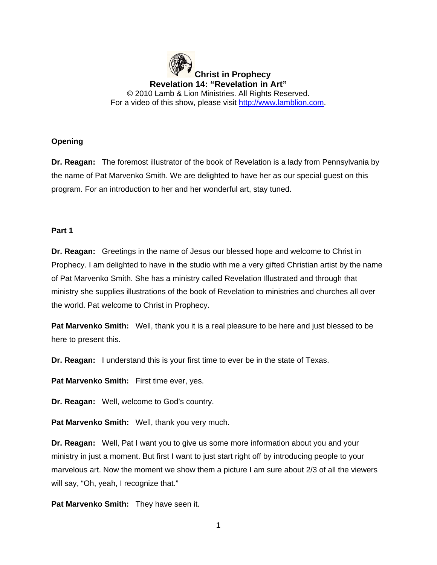**Christ in Prophecy Revelation 14: "Revelation in Art"** © 2010 Lamb & Lion Ministries. All Rights Reserved. For a video of this show, please visit [http://www.lamblion.com.](http://www.lamblion.com/)

# **Opening**

**Dr. Reagan:** The foremost illustrator of the book of Revelation is a lady from Pennsylvania by the name of Pat Marvenko Smith. We are delighted to have her as our special guest on this program. For an introduction to her and her wonderful art, stay tuned.

### **Part 1**

**Dr. Reagan:** Greetings in the name of Jesus our blessed hope and welcome to Christ in Prophecy. I am delighted to have in the studio with me a very gifted Christian artist by the name of Pat Marvenko Smith. She has a ministry called Revelation Illustrated and through that ministry she supplies illustrations of the book of Revelation to ministries and churches all over the world. Pat welcome to Christ in Prophecy.

**Pat Marvenko Smith:** Well, thank you it is a real pleasure to be here and just blessed to be here to present this.

**Dr. Reagan:** I understand this is your first time to ever be in the state of Texas.

**Pat Marvenko Smith:** First time ever, yes.

**Dr. Reagan:** Well, welcome to God's country.

**Pat Marvenko Smith:** Well, thank you very much.

**Dr. Reagan:** Well, Pat I want you to give us some more information about you and your ministry in just a moment. But first I want to just start right off by introducing people to your marvelous art. Now the moment we show them a picture I am sure about 2/3 of all the viewers will say, "Oh, yeah, I recognize that."

**Pat Marvenko Smith:** They have seen it.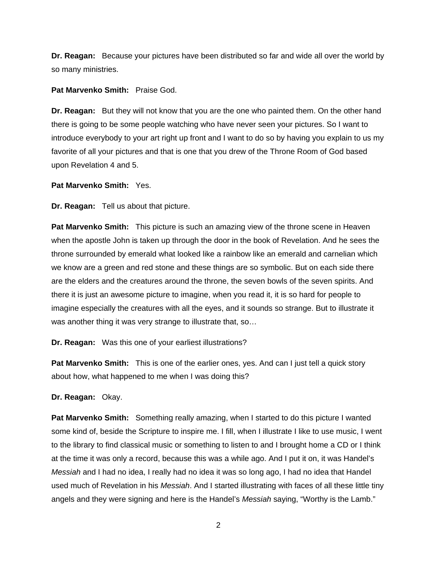**Dr. Reagan:** Because your pictures have been distributed so far and wide all over the world by so many ministries.

### **Pat Marvenko Smith:** Praise God.

**Dr. Reagan:** But they will not know that you are the one who painted them. On the other hand there is going to be some people watching who have never seen your pictures. So I want to introduce everybody to your art right up front and I want to do so by having you explain to us my favorite of all your pictures and that is one that you drew of the Throne Room of God based upon Revelation 4 and 5.

## **Pat Marvenko Smith:** Yes.

**Dr. Reagan:** Tell us about that picture.

**Pat Marvenko Smith:** This picture is such an amazing view of the throne scene in Heaven when the apostle John is taken up through the door in the book of Revelation. And he sees the throne surrounded by emerald what looked like a rainbow like an emerald and carnelian which we know are a green and red stone and these things are so symbolic. But on each side there are the elders and the creatures around the throne, the seven bowls of the seven spirits. And there it is just an awesome picture to imagine, when you read it, it is so hard for people to imagine especially the creatures with all the eyes, and it sounds so strange. But to illustrate it was another thing it was very strange to illustrate that, so...

**Dr. Reagan:** Was this one of your earliest illustrations?

**Pat Marvenko Smith:** This is one of the earlier ones, yes. And can I just tell a quick story about how, what happened to me when I was doing this?

#### **Dr. Reagan:** Okay.

**Pat Marvenko Smith:** Something really amazing, when I started to do this picture I wanted some kind of, beside the Scripture to inspire me. I fill, when I illustrate I like to use music, I went to the library to find classical music or something to listen to and I brought home a CD or I think at the time it was only a record, because this was a while ago. And I put it on, it was Handel's *Messiah* and I had no idea, I really had no idea it was so long ago, I had no idea that Handel used much of Revelation in his *Messiah*. And I started illustrating with faces of all these little tiny angels and they were signing and here is the Handel's *Messiah* saying, "Worthy is the Lamb."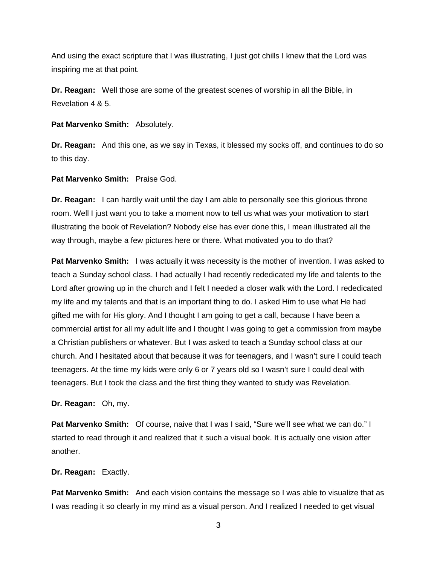And using the exact scripture that I was illustrating, I just got chills I knew that the Lord was inspiring me at that point.

**Dr. Reagan:** Well those are some of the greatest scenes of worship in all the Bible, in Revelation 4 & 5.

**Pat Marvenko Smith:** Absolutely.

**Dr. Reagan:** And this one, as we say in Texas, it blessed my socks off, and continues to do so to this day.

**Pat Marvenko Smith:** Praise God.

**Dr. Reagan:** I can hardly wait until the day I am able to personally see this glorious throne room. Well I just want you to take a moment now to tell us what was your motivation to start illustrating the book of Revelation? Nobody else has ever done this, I mean illustrated all the way through, maybe a few pictures here or there. What motivated you to do that?

**Pat Marvenko Smith:** I was actually it was necessity is the mother of invention. I was asked to teach a Sunday school class. I had actually I had recently rededicated my life and talents to the Lord after growing up in the church and I felt I needed a closer walk with the Lord. I rededicated my life and my talents and that is an important thing to do. I asked Him to use what He had gifted me with for His glory. And I thought I am going to get a call, because I have been a commercial artist for all my adult life and I thought I was going to get a commission from maybe a Christian publishers or whatever. But I was asked to teach a Sunday school class at our church. And I hesitated about that because it was for teenagers, and I wasn't sure I could teach teenagers. At the time my kids were only 6 or 7 years old so I wasn't sure I could deal with teenagers. But I took the class and the first thing they wanted to study was Revelation.

**Dr. Reagan:** Oh, my.

**Pat Marvenko Smith:** Of course, naive that I was I said, "Sure we'll see what we can do." I started to read through it and realized that it such a visual book. It is actually one vision after another.

**Dr. Reagan:** Exactly.

**Pat Marvenko Smith:** And each vision contains the message so I was able to visualize that as I was reading it so clearly in my mind as a visual person. And I realized I needed to get visual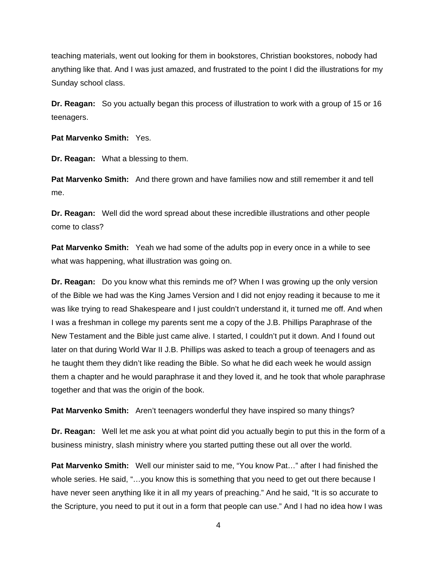teaching materials, went out looking for them in bookstores, Christian bookstores, nobody had anything like that. And I was just amazed, and frustrated to the point I did the illustrations for my Sunday school class.

**Dr. Reagan:** So you actually began this process of illustration to work with a group of 15 or 16 teenagers.

**Pat Marvenko Smith:** Yes.

**Dr. Reagan:** What a blessing to them.

**Pat Marvenko Smith:** And there grown and have families now and still remember it and tell me.

**Dr. Reagan:** Well did the word spread about these incredible illustrations and other people come to class?

**Pat Marvenko Smith:** Yeah we had some of the adults pop in every once in a while to see what was happening, what illustration was going on.

**Dr. Reagan:** Do you know what this reminds me of? When I was growing up the only version of the Bible we had was the King James Version and I did not enjoy reading it because to me it was like trying to read Shakespeare and I just couldn't understand it, it turned me off. And when I was a freshman in college my parents sent me a copy of the J.B. Phillips Paraphrase of the New Testament and the Bible just came alive. I started, I couldn't put it down. And I found out later on that during World War II J.B. Phillips was asked to teach a group of teenagers and as he taught them they didn't like reading the Bible. So what he did each week he would assign them a chapter and he would paraphrase it and they loved it, and he took that whole paraphrase together and that was the origin of the book.

**Pat Marvenko Smith:** Aren't teenagers wonderful they have inspired so many things?

**Dr. Reagan:** Well let me ask you at what point did you actually begin to put this in the form of a business ministry, slash ministry where you started putting these out all over the world.

**Pat Marvenko Smith:** Well our minister said to me, "You know Pat…" after I had finished the whole series. He said, "...you know this is something that you need to get out there because I have never seen anything like it in all my years of preaching." And he said, "It is so accurate to the Scripture, you need to put it out in a form that people can use." And I had no idea how I was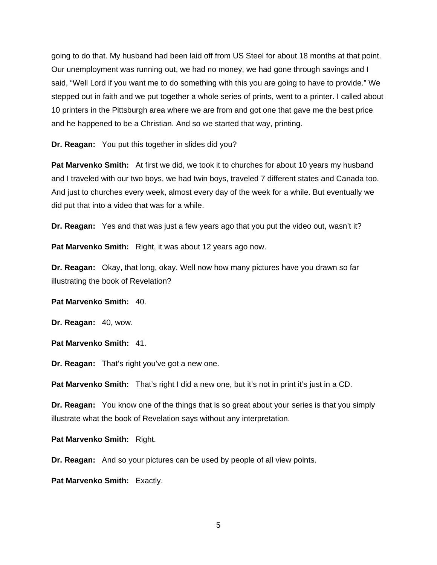going to do that. My husband had been laid off from US Steel for about 18 months at that point. Our unemployment was running out, we had no money, we had gone through savings and I said, "Well Lord if you want me to do something with this you are going to have to provide." We stepped out in faith and we put together a whole series of prints, went to a printer. I called about 10 printers in the Pittsburgh area where we are from and got one that gave me the best price and he happened to be a Christian. And so we started that way, printing.

**Dr. Reagan:** You put this together in slides did you?

**Pat Marvenko Smith:** At first we did, we took it to churches for about 10 years my husband and I traveled with our two boys, we had twin boys, traveled 7 different states and Canada too. And just to churches every week, almost every day of the week for a while. But eventually we did put that into a video that was for a while.

**Dr. Reagan:** Yes and that was just a few years ago that you put the video out, wasn't it?

Pat Marvenko Smith: Right, it was about 12 years ago now.

**Dr. Reagan:** Okay, that long, okay. Well now how many pictures have you drawn so far illustrating the book of Revelation?

### **Pat Marvenko Smith:** 40.

**Dr. Reagan:** 40, wow.

### **Pat Marvenko Smith:** 41.

**Dr. Reagan:** That's right you've got a new one.

**Pat Marvenko Smith:** That's right I did a new one, but it's not in print it's just in a CD.

**Dr. Reagan:** You know one of the things that is so great about your series is that you simply illustrate what the book of Revelation says without any interpretation.

**Pat Marvenko Smith:** Right.

**Dr. Reagan:** And so your pictures can be used by people of all view points.

**Pat Marvenko Smith:** Exactly.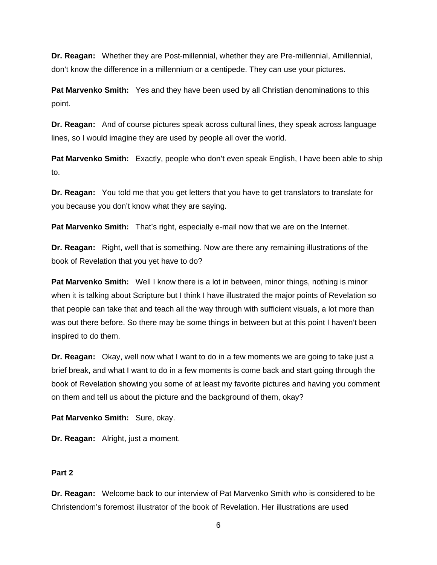**Dr. Reagan:** Whether they are Post-millennial, whether they are Pre-millennial, Amillennial, don't know the difference in a millennium or a centipede. They can use your pictures.

**Pat Marvenko Smith:** Yes and they have been used by all Christian denominations to this point.

**Dr. Reagan:** And of course pictures speak across cultural lines, they speak across language lines, so I would imagine they are used by people all over the world.

**Pat Marvenko Smith:** Exactly, people who don't even speak English, I have been able to ship to.

**Dr. Reagan:** You told me that you get letters that you have to get translators to translate for you because you don't know what they are saying.

**Pat Marvenko Smith:** That's right, especially e-mail now that we are on the Internet.

**Dr. Reagan:** Right, well that is something. Now are there any remaining illustrations of the book of Revelation that you yet have to do?

**Pat Marvenko Smith:** Well I know there is a lot in between, minor things, nothing is minor when it is talking about Scripture but I think I have illustrated the major points of Revelation so that people can take that and teach all the way through with sufficient visuals, a lot more than was out there before. So there may be some things in between but at this point I haven't been inspired to do them.

**Dr. Reagan:** Okay, well now what I want to do in a few moments we are going to take just a brief break, and what I want to do in a few moments is come back and start going through the book of Revelation showing you some of at least my favorite pictures and having you comment on them and tell us about the picture and the background of them, okay?

**Pat Marvenko Smith:** Sure, okay.

**Dr. Reagan:** Alright, just a moment.

## **Part 2**

**Dr. Reagan:** Welcome back to our interview of Pat Marvenko Smith who is considered to be Christendom's foremost illustrator of the book of Revelation. Her illustrations are used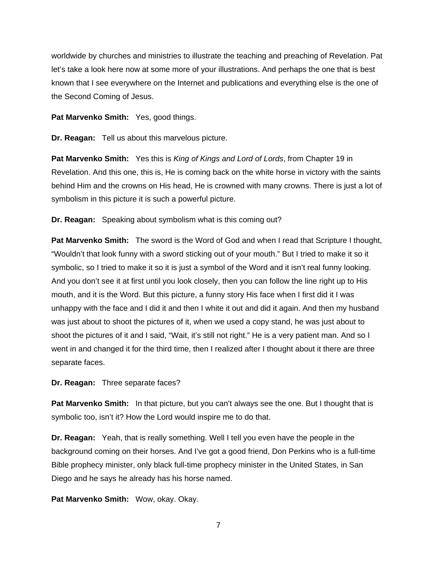worldwide by churches and ministries to illustrate the teaching and preaching of Revelation. Pat let's take a look here now at some more of your illustrations. And perhaps the one that is best known that I see everywhere on the Internet and publications and everything else is the one of the Second Coming of Jesus.

**Pat Marvenko Smith:** Yes, good things.

**Dr. Reagan:** Tell us about this marvelous picture.

**Pat Marvenko Smith:** Yes this is *King of Kings and Lord of Lords*, from Chapter 19 in Revelation. And this one, this is, He is coming back on the white horse in victory with the saints behind Him and the crowns on His head, He is crowned with many crowns. There is just a lot of symbolism in this picture it is such a powerful picture.

**Dr. Reagan:** Speaking about symbolism what is this coming out?

**Pat Marvenko Smith:** The sword is the Word of God and when I read that Scripture I thought, "Wouldn't that look funny with a sword sticking out of your mouth." But I tried to make it so it symbolic, so I tried to make it so it is just a symbol of the Word and it isn't real funny looking. And you don't see it at first until you look closely, then you can follow the line right up to His mouth, and it is the Word. But this picture, a funny story His face when I first did it I was unhappy with the face and I did it and then I white it out and did it again. And then my husband was just about to shoot the pictures of it, when we used a copy stand, he was just about to shoot the pictures of it and I said, "Wait, it's still not right." He is a very patient man. And so I went in and changed it for the third time, then I realized after I thought about it there are three separate faces.

**Dr. Reagan:** Three separate faces?

**Pat Marvenko Smith:** In that picture, but you can't always see the one. But I thought that is symbolic too, isn't it? How the Lord would inspire me to do that.

**Dr. Reagan:** Yeah, that is really something. Well I tell you even have the people in the background coming on their horses. And I've got a good friend, Don Perkins who is a full-time Bible prophecy minister, only black full-time prophecy minister in the United States, in San Diego and he says he already has his horse named.

**Pat Marvenko Smith:** Wow, okay. Okay.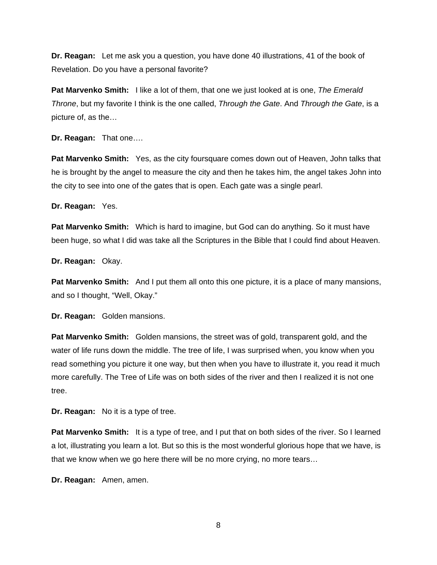**Dr. Reagan:** Let me ask you a question, you have done 40 illustrations, 41 of the book of Revelation. Do you have a personal favorite?

**Pat Marvenko Smith:** I like a lot of them, that one we just looked at is one, *The Emerald Throne*, but my favorite I think is the one called, *Through the Gate*. And *Through the Gate*, is a picture of, as the…

**Dr. Reagan:** That one….

**Pat Marvenko Smith:** Yes, as the city foursquare comes down out of Heaven, John talks that he is brought by the angel to measure the city and then he takes him, the angel takes John into the city to see into one of the gates that is open. Each gate was a single pearl.

**Dr. Reagan:** Yes.

**Pat Marvenko Smith:** Which is hard to imagine, but God can do anything. So it must have been huge, so what I did was take all the Scriptures in the Bible that I could find about Heaven.

**Dr. Reagan:** Okay.

**Pat Marvenko Smith:** And I put them all onto this one picture, it is a place of many mansions, and so I thought, "Well, Okay."

**Dr. Reagan:** Golden mansions.

**Pat Marvenko Smith:** Golden mansions, the street was of gold, transparent gold, and the water of life runs down the middle. The tree of life, I was surprised when, you know when you read something you picture it one way, but then when you have to illustrate it, you read it much more carefully. The Tree of Life was on both sides of the river and then I realized it is not one tree.

**Dr. Reagan:** No it is a type of tree.

**Pat Marvenko Smith:** It is a type of tree, and I put that on both sides of the river. So I learned a lot, illustrating you learn a lot. But so this is the most wonderful glorious hope that we have, is that we know when we go here there will be no more crying, no more tears…

**Dr. Reagan:** Amen, amen.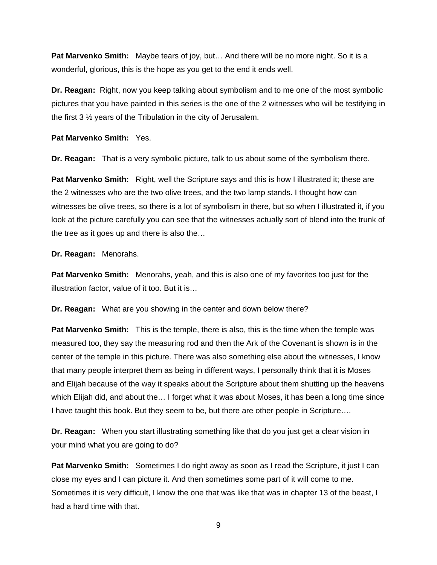**Pat Marvenko Smith:** Maybe tears of joy, but… And there will be no more night. So it is a wonderful, glorious, this is the hope as you get to the end it ends well.

**Dr. Reagan:** Right, now you keep talking about symbolism and to me one of the most symbolic pictures that you have painted in this series is the one of the 2 witnesses who will be testifying in the first 3 ½ years of the Tribulation in the city of Jerusalem.

**Pat Marvenko Smith:** Yes.

**Dr. Reagan:** That is a very symbolic picture, talk to us about some of the symbolism there.

**Pat Marvenko Smith:** Right, well the Scripture says and this is how I illustrated it; these are the 2 witnesses who are the two olive trees, and the two lamp stands. I thought how can witnesses be olive trees, so there is a lot of symbolism in there, but so when I illustrated it, if you look at the picture carefully you can see that the witnesses actually sort of blend into the trunk of the tree as it goes up and there is also the…

**Dr. Reagan:** Menorahs.

**Pat Marvenko Smith:** Menorahs, yeah, and this is also one of my favorites too just for the illustration factor, value of it too. But it is…

**Dr. Reagan:** What are you showing in the center and down below there?

**Pat Marvenko Smith:** This is the temple, there is also, this is the time when the temple was measured too, they say the measuring rod and then the Ark of the Covenant is shown is in the center of the temple in this picture. There was also something else about the witnesses, I know that many people interpret them as being in different ways, I personally think that it is Moses and Elijah because of the way it speaks about the Scripture about them shutting up the heavens which Elijah did, and about the… I forget what it was about Moses, it has been a long time since I have taught this book. But they seem to be, but there are other people in Scripture….

**Dr. Reagan:** When you start illustrating something like that do you just get a clear vision in your mind what you are going to do?

**Pat Marvenko Smith:** Sometimes I do right away as soon as I read the Scripture, it just I can close my eyes and I can picture it. And then sometimes some part of it will come to me. Sometimes it is very difficult, I know the one that was like that was in chapter 13 of the beast, I had a hard time with that.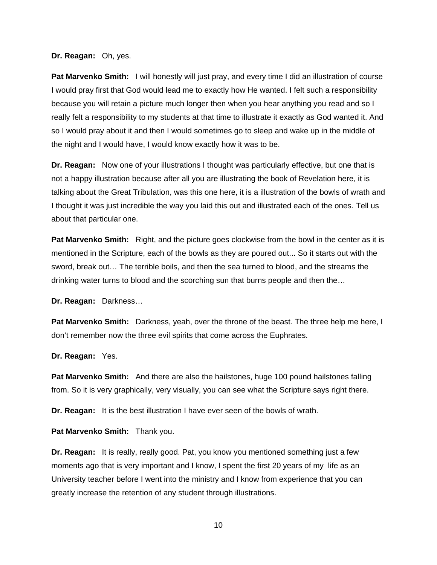**Dr. Reagan:** Oh, yes.

**Pat Marvenko Smith:** I will honestly will just pray, and every time I did an illustration of course I would pray first that God would lead me to exactly how He wanted. I felt such a responsibility because you will retain a picture much longer then when you hear anything you read and so I really felt a responsibility to my students at that time to illustrate it exactly as God wanted it. And so I would pray about it and then I would sometimes go to sleep and wake up in the middle of the night and I would have, I would know exactly how it was to be.

**Dr. Reagan:** Now one of your illustrations I thought was particularly effective, but one that is not a happy illustration because after all you are illustrating the book of Revelation here, it is talking about the Great Tribulation, was this one here, it is a illustration of the bowls of wrath and I thought it was just incredible the way you laid this out and illustrated each of the ones. Tell us about that particular one.

**Pat Marvenko Smith:** Right, and the picture goes clockwise from the bowl in the center as it is mentioned in the Scripture, each of the bowls as they are poured out... So it starts out with the sword, break out… The terrible boils, and then the sea turned to blood, and the streams the drinking water turns to blood and the scorching sun that burns people and then the…

**Dr. Reagan:** Darkness…

**Pat Marvenko Smith:** Darkness, yeah, over the throne of the beast. The three help me here, I don't remember now the three evil spirits that come across the Euphrates.

**Dr. Reagan:** Yes.

**Pat Marvenko Smith:** And there are also the hailstones, huge 100 pound hailstones falling from. So it is very graphically, very visually, you can see what the Scripture says right there.

**Dr. Reagan:** It is the best illustration I have ever seen of the bowls of wrath.

**Pat Marvenko Smith:** Thank you.

**Dr. Reagan:** It is really, really good. Pat, you know you mentioned something just a few moments ago that is very important and I know, I spent the first 20 years of my life as an University teacher before I went into the ministry and I know from experience that you can greatly increase the retention of any student through illustrations.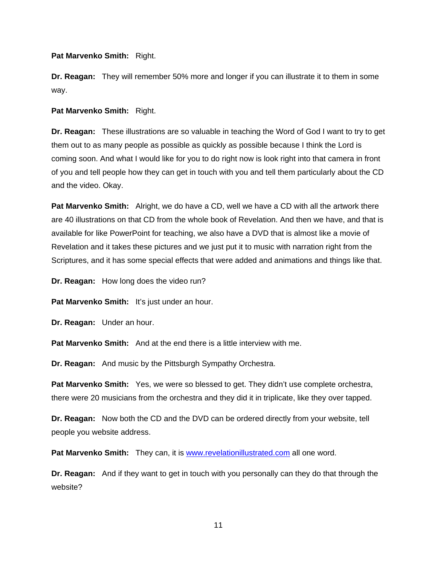**Pat Marvenko Smith:** Right.

**Dr. Reagan:** They will remember 50% more and longer if you can illustrate it to them in some way.

**Pat Marvenko Smith:** Right.

**Dr. Reagan:** These illustrations are so valuable in teaching the Word of God I want to try to get them out to as many people as possible as quickly as possible because I think the Lord is coming soon. And what I would like for you to do right now is look right into that camera in front of you and tell people how they can get in touch with you and tell them particularly about the CD and the video. Okay.

**Pat Marvenko Smith:** Alright, we do have a CD, well we have a CD with all the artwork there are 40 illustrations on that CD from the whole book of Revelation. And then we have, and that is available for like PowerPoint for teaching, we also have a DVD that is almost like a movie of Revelation and it takes these pictures and we just put it to music with narration right from the Scriptures, and it has some special effects that were added and animations and things like that.

**Dr. Reagan:** How long does the video run?

Pat Marvenko Smith: It's just under an hour.

**Dr. Reagan:** Under an hour.

**Pat Marvenko Smith:** And at the end there is a little interview with me.

**Dr. Reagan:** And music by the Pittsburgh Sympathy Orchestra.

**Pat Marvenko Smith:** Yes, we were so blessed to get. They didn't use complete orchestra, there were 20 musicians from the orchestra and they did it in triplicate, like they over tapped.

**Dr. Reagan:** Now both the CD and the DVD can be ordered directly from your website, tell people you website address.

Pat Marvenko Smith: They can, it is **[www.revelationillustrated.com](http://www.revelationillustrated.com/)** all one word.

**Dr. Reagan:** And if they want to get in touch with you personally can they do that through the website?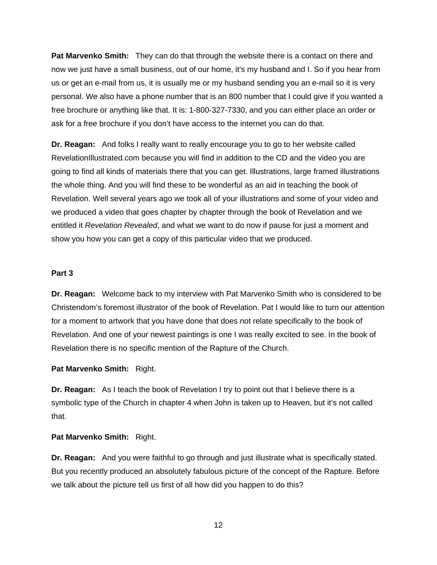**Pat Marvenko Smith:** They can do that through the website there is a contact on there and now we just have a small business, out of our home, it's my husband and I. So if you hear from us or get an e-mail from us, it is usually me or my husband sending you an e-mail so it is very personal. We also have a phone number that is an 800 number that I could give if you wanted a free brochure or anything like that. It is: 1-800-327-7330, and you can either place an order or ask for a free brochure if you don't have access to the internet you can do that.

**Dr. Reagan:** And folks I really want to really encourage you to go to her website called RevelationIllustrated.com because you will find in addition to the CD and the video you are going to find all kinds of materials there that you can get. Illustrations, large framed illustrations the whole thing. And you will find these to be wonderful as an aid in teaching the book of Revelation. Well several years ago we took all of your illustrations and some of your video and we produced a video that goes chapter by chapter through the book of Revelation and we entitled it *Revelation Revealed*, and what we want to do now if pause for just a moment and show you how you can get a copy of this particular video that we produced.

## **Part 3**

**Dr. Reagan:** Welcome back to my interview with Pat Marvenko Smith who is considered to be Christendom's foremost illustrator of the book of Revelation. Pat I would like to turn our attention for a moment to artwork that you have done that does not relate specifically to the book of Revelation. And one of your newest paintings is one I was really excited to see. In the book of Revelation there is no specific mention of the Rapture of the Church.

## **Pat Marvenko Smith:** Right.

**Dr. Reagan:** As I teach the book of Revelation I try to point out that I believe there is a symbolic type of the Church in chapter 4 when John is taken up to Heaven, but it's not called that.

#### **Pat Marvenko Smith:** Right.

**Dr. Reagan:** And you were faithful to go through and just illustrate what is specifically stated. But you recently produced an absolutely fabulous picture of the concept of the Rapture. Before we talk about the picture tell us first of all how did you happen to do this?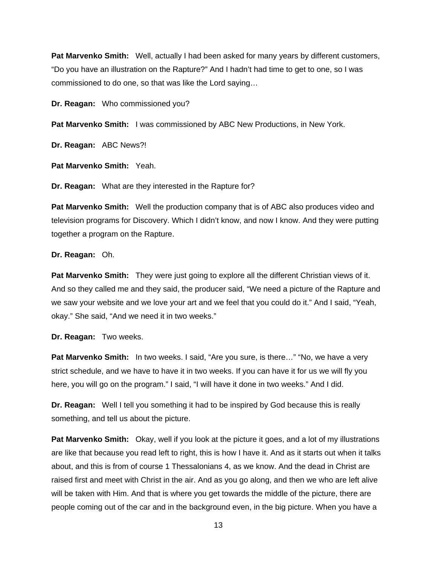**Pat Marvenko Smith:** Well, actually I had been asked for many years by different customers, "Do you have an illustration on the Rapture?" And I hadn't had time to get to one, so I was commissioned to do one, so that was like the Lord saying…

**Dr. Reagan:** Who commissioned you?

**Pat Marvenko Smith:** I was commissioned by ABC New Productions, in New York.

**Dr. Reagan:** ABC News?!

**Pat Marvenko Smith:** Yeah.

**Dr. Reagan:** What are they interested in the Rapture for?

**Pat Marvenko Smith:** Well the production company that is of ABC also produces video and television programs for Discovery. Which I didn't know, and now I know. And they were putting together a program on the Rapture.

### **Dr. Reagan:** Oh.

**Pat Marvenko Smith:** They were just going to explore all the different Christian views of it. And so they called me and they said, the producer said, "We need a picture of the Rapture and we saw your website and we love your art and we feel that you could do it." And I said, "Yeah, okay." She said, "And we need it in two weeks."

**Dr. Reagan:** Two weeks.

**Pat Marvenko Smith:** In two weeks. I said, "Are you sure, is there..." "No, we have a very strict schedule, and we have to have it in two weeks. If you can have it for us we will fly you here, you will go on the program." I said, "I will have it done in two weeks." And I did.

**Dr. Reagan:** Well I tell you something it had to be inspired by God because this is really something, and tell us about the picture.

**Pat Marvenko Smith:** Okay, well if you look at the picture it goes, and a lot of my illustrations are like that because you read left to right, this is how I have it. And as it starts out when it talks about, and this is from of course 1 Thessalonians 4, as we know. And the dead in Christ are raised first and meet with Christ in the air. And as you go along, and then we who are left alive will be taken with Him. And that is where you get towards the middle of the picture, there are people coming out of the car and in the background even, in the big picture. When you have a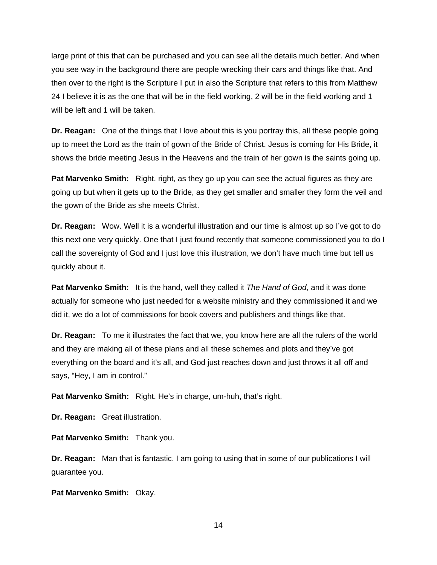large print of this that can be purchased and you can see all the details much better. And when you see way in the background there are people wrecking their cars and things like that. And then over to the right is the Scripture I put in also the Scripture that refers to this from Matthew 24 I believe it is as the one that will be in the field working, 2 will be in the field working and 1 will be left and 1 will be taken.

**Dr. Reagan:** One of the things that I love about this is you portray this, all these people going up to meet the Lord as the train of gown of the Bride of Christ. Jesus is coming for His Bride, it shows the bride meeting Jesus in the Heavens and the train of her gown is the saints going up.

**Pat Marvenko Smith:** Right, right, as they go up you can see the actual figures as they are going up but when it gets up to the Bride, as they get smaller and smaller they form the veil and the gown of the Bride as she meets Christ.

**Dr. Reagan:** Wow. Well it is a wonderful illustration and our time is almost up so I've got to do this next one very quickly. One that I just found recently that someone commissioned you to do I call the sovereignty of God and I just love this illustration, we don't have much time but tell us quickly about it.

**Pat Marvenko Smith:** It is the hand, well they called it *The Hand of God*, and it was done actually for someone who just needed for a website ministry and they commissioned it and we did it, we do a lot of commissions for book covers and publishers and things like that.

**Dr. Reagan:** To me it illustrates the fact that we, you know here are all the rulers of the world and they are making all of these plans and all these schemes and plots and they've got everything on the board and it's all, and God just reaches down and just throws it all off and says, "Hey, I am in control."

**Pat Marvenko Smith:** Right. He's in charge, um-huh, that's right.

**Dr. Reagan:** Great illustration.

**Pat Marvenko Smith:** Thank you.

**Dr. Reagan:** Man that is fantastic. I am going to using that in some of our publications I will guarantee you.

**Pat Marvenko Smith:** Okay.